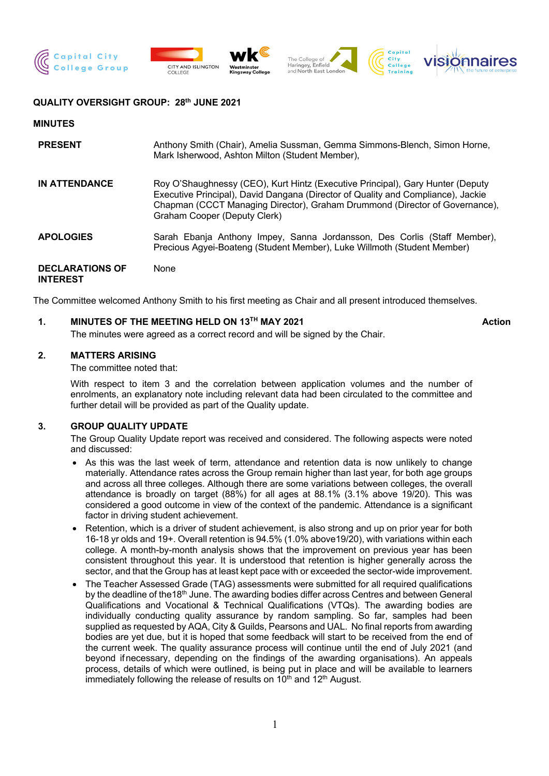







### **QUALITY OVERSIGHT GROUP: 28th JUNE 2021**

#### **MINUTES**

| <b>PRESENT</b>                            | Anthony Smith (Chair), Amelia Sussman, Gemma Simmons-Blench, Simon Horne,<br>Mark Isherwood, Ashton Milton (Student Member),                                                                                                                                                      |
|-------------------------------------------|-----------------------------------------------------------------------------------------------------------------------------------------------------------------------------------------------------------------------------------------------------------------------------------|
| <b>IN ATTENDANCE</b>                      | Roy O'Shaughnessy (CEO), Kurt Hintz (Executive Principal), Gary Hunter (Deputy<br>Executive Principal), David Dangana (Director of Quality and Compliance), Jackie<br>Chapman (CCCT Managing Director), Graham Drummond (Director of Governance),<br>Graham Cooper (Deputy Clerk) |
| <b>APOLOGIES</b>                          | Sarah Ebanja Anthony Impey, Sanna Jordansson, Des Corlis (Staff Member),<br>Precious Agyei-Boateng (Student Member), Luke Willmoth (Student Member)                                                                                                                               |
| <b>DECLARATIONS OF</b><br><b>INTEREST</b> | None                                                                                                                                                                                                                                                                              |

The Committee welcomed Anthony Smith to his first meeting as Chair and all present introduced themselves.

#### **1. MINUTES OF THE MEETING HELD ON 13TH MAY 2021 Action**

The minutes were agreed as a correct record and will be signed by the Chair.

### **2. MATTERS ARISING**

The committee noted that:

With respect to item 3 and the correlation between application volumes and the number of enrolments, an explanatory note including relevant data had been circulated to the committee and further detail will be provided as part of the Quality update.

### **3. GROUP QUALITY UPDATE**

The Group Quality Update report was received and considered. The following aspects were noted and discussed:

- As this was the last week of term, attendance and retention data is now unlikely to change materially. Attendance rates across the Group remain higher than last year, for both age groups and across all three colleges. Although there are some variations between colleges, the overall attendance is broadly on target (88%) for all ages at 88.1% (3.1% above 19/20). This was considered a good outcome in view of the context of the pandemic. Attendance is a significant factor in driving student achievement.
- Retention, which is a driver of student achievement, is also strong and up on prior year for both 16-18 yr olds and 19+. Overall retention is 94.5% (1.0% above19/20), with variations within each college. A month-by-month analysis shows that the improvement on previous year has been consistent throughout this year. It is understood that retention is higher generally across the sector, and that the Group has at least kept pace with or exceeded the sector-wide improvement.
- The Teacher Assessed Grade (TAG) assessments were submitted for all required qualifications by the deadline of the 18<sup>th</sup> June. The awarding bodies differ across Centres and between General Qualifications and Vocational & Technical Qualifications (VTQs). The awarding bodies are individually conducting quality assurance by random sampling. So far, samples had been supplied as requested by AQA, City & Guilds, Pearsons and UAL. No final reports from awarding bodies are yet due, but it is hoped that some feedback will start to be received from the end of the current week. The quality assurance process will continue until the end of July 2021 (and beyond if necessary, depending on the findings of the awarding organisations). An appeals process, details of which were outlined, is being put in place and will be available to learners immediately following the release of results on  $10<sup>th</sup>$  and  $12<sup>th</sup>$  August.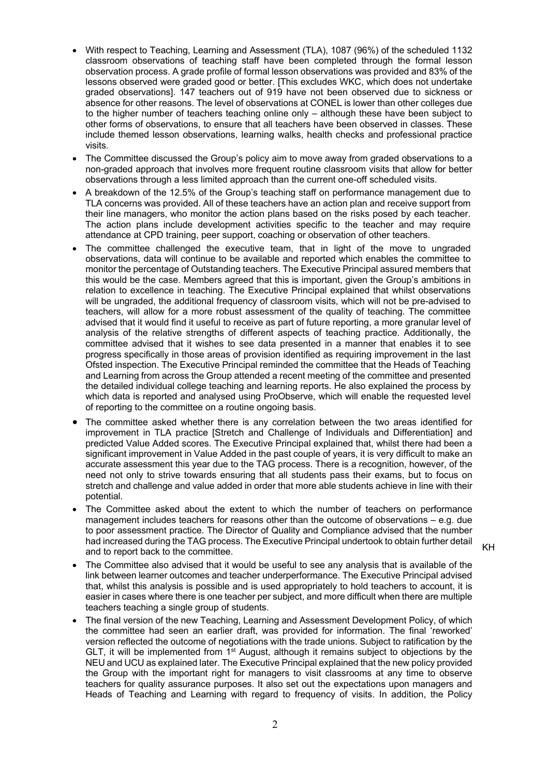- With respect to Teaching, Learning and Assessment (TLA), 1087 (96%) of the scheduled 1132 classroom observations of teaching staff have been completed through the formal lesson observation process. A grade profile of formal lesson observations was provided and 83% of the lessons observed were graded good or better. [This excludes WKC, which does not undertake graded observations]. 147 teachers out of 919 have not been observed due to sickness or absence for other reasons. The level of observations at CONEL is lower than other colleges due to the higher number of teachers teaching online only – although these have been subject to other forms of observations, to ensure that all teachers have been observed in classes. These include themed lesson observations, learning walks, health checks and professional practice visits.
- The Committee discussed the Group's policy aim to move away from graded observations to a non-graded approach that involves more frequent routine classroom visits that allow for better observations through a less limited approach than the current one-off scheduled visits.
- A breakdown of the 12.5% of the Group's teaching staff on performance management due to TLA concerns was provided. All of these teachers have an action plan and receive support from their line managers, who monitor the action plans based on the risks posed by each teacher. The action plans include development activities specific to the teacher and may require attendance at CPD training, peer support, coaching or observation of other teachers.
- The committee challenged the executive team, that in light of the move to ungraded observations, data will continue to be available and reported which enables the committee to monitor the percentage of Outstanding teachers. The Executive Principal assured members that this would be the case. Members agreed that this is important, given the Group's ambitions in relation to excellence in teaching. The Executive Principal explained that whilst observations will be ungraded, the additional frequency of classroom visits, which will not be pre-advised to teachers, will allow for a more robust assessment of the quality of teaching. The committee advised that it would find it useful to receive as part of future reporting, a more granular level of analysis of the relative strengths of different aspects of teaching practice. Additionally, the committee advised that it wishes to see data presented in a manner that enables it to see progress specifically in those areas of provision identified as requiring improvement in the last Ofsted inspection. The Executive Principal reminded the committee that the Heads of Teaching and Learning from across the Group attended a recent meeting of the committee and presented the detailed individual college teaching and learning reports. He also explained the process by which data is reported and analysed using ProObserve, which will enable the requested level of reporting to the committee on a routine ongoing basis.
- The committee asked whether there is any correlation between the two areas identified for improvement in TLA practice [Stretch and Challenge of Individuals and Differentiation] and predicted Value Added scores. The Executive Principal explained that, whilst there had been a significant improvement in Value Added in the past couple of years, it is very difficult to make an accurate assessment this year due to the TAG process. There is a recognition, however, of the need not only to strive towards ensuring that all students pass their exams, but to focus on stretch and challenge and value added in order that more able students achieve in line with their potential.
- The Committee asked about the extent to which the number of teachers on performance management includes teachers for reasons other than the outcome of observations – e.g. due to poor assessment practice. The Director of Quality and Compliance advised that the number had increased during the TAG process. The Executive Principal undertook to obtain further detail and to report back to the committee.
- KH
- The Committee also advised that it would be useful to see any analysis that is available of the link between learner outcomes and teacher underperformance. The Executive Principal advised that, whilst this analysis is possible and is used appropriately to hold teachers to account, it is easier in cases where there is one teacher per subject, and more difficult when there are multiple teachers teaching a single group of students.
- The final version of the new Teaching, Learning and Assessment Development Policy, of which the committee had seen an earlier draft, was provided for information. The final 'reworked' version reflected the outcome of negotiations with the trade unions. Subject to ratification by the GLT, it will be implemented from  $1^{st}$  August, although it remains subject to objections by the NEU and UCU as explained later. The Executive Principal explained that the new policy provided the Group with the important right for managers to visit classrooms at any time to observe teachers for quality assurance purposes. It also set out the expectations upon managers and Heads of Teaching and Learning with regard to frequency of visits. In addition, the Policy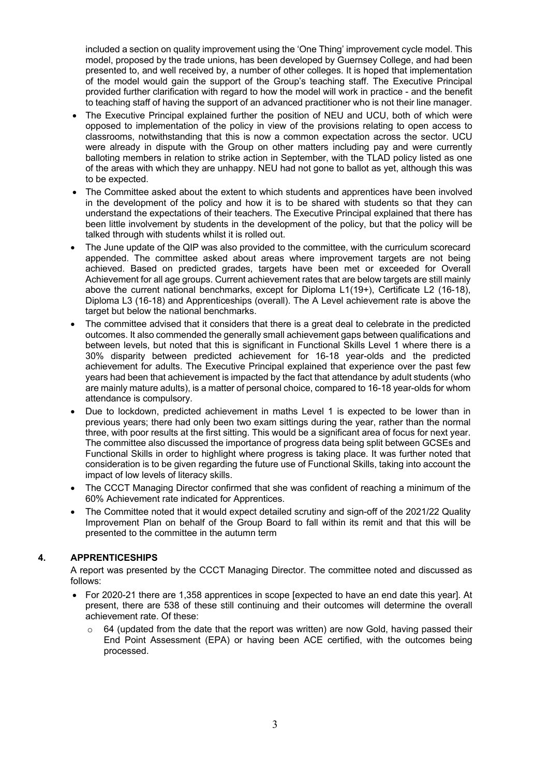included a section on quality improvement using the 'One Thing' improvement cycle model. This model, proposed by the trade unions, has been developed by Guernsey College, and had been presented to, and well received by, a number of other colleges. It is hoped that implementation of the model would gain the support of the Group's teaching staff. The Executive Principal provided further clarification with regard to how the model will work in practice - and the benefit to teaching staff of having the support of an advanced practitioner who is not their line manager.

- The Executive Principal explained further the position of NEU and UCU, both of which were opposed to implementation of the policy in view of the provisions relating to open access to classrooms, notwithstanding that this is now a common expectation across the sector. UCU were already in dispute with the Group on other matters including pay and were currently balloting members in relation to strike action in September, with the TLAD policy listed as one of the areas with which they are unhappy. NEU had not gone to ballot as yet, although this was to be expected.
- The Committee asked about the extent to which students and apprentices have been involved in the development of the policy and how it is to be shared with students so that they can understand the expectations of their teachers. The Executive Principal explained that there has been little involvement by students in the development of the policy, but that the policy will be talked through with students whilst it is rolled out.
- The June update of the QIP was also provided to the committee, with the curriculum scorecard appended. The committee asked about areas where improvement targets are not being achieved. Based on predicted grades, targets have been met or exceeded for Overall Achievement for all age groups. Current achievement rates that are below targets are still mainly above the current national benchmarks, except for Diploma L1(19+), Certificate L2 (16-18), Diploma L3 (16-18) and Apprenticeships (overall). The A Level achievement rate is above the target but below the national benchmarks.
- The committee advised that it considers that there is a great deal to celebrate in the predicted outcomes. It also commended the generally small achievement gaps between qualifications and between levels, but noted that this is significant in Functional Skills Level 1 where there is a 30% disparity between predicted achievement for 16-18 year-olds and the predicted achievement for adults. The Executive Principal explained that experience over the past few years had been that achievement is impacted by the fact that attendance by adult students (who are mainly mature adults), is a matter of personal choice, compared to 16-18 year-olds for whom attendance is compulsory.
- Due to lockdown, predicted achievement in maths Level 1 is expected to be lower than in previous years; there had only been two exam sittings during the year, rather than the normal three, with poor results at the first sitting. This would be a significant area of focus for next year. The committee also discussed the importance of progress data being split between GCSEs and Functional Skills in order to highlight where progress is taking place. It was further noted that consideration is to be given regarding the future use of Functional Skills, taking into account the impact of low levels of literacy skills.
- The CCCT Managing Director confirmed that she was confident of reaching a minimum of the 60% Achievement rate indicated for Apprentices.
- The Committee noted that it would expect detailed scrutiny and sign-off of the 2021/22 Quality Improvement Plan on behalf of the Group Board to fall within its remit and that this will be presented to the committee in the autumn term

### **4. APPRENTICESHIPS**

A report was presented by the CCCT Managing Director. The committee noted and discussed as follows:

- For 2020-21 there are 1,358 apprentices in scope [expected to have an end date this year]. At present, there are 538 of these still continuing and their outcomes will determine the overall achievement rate. Of these:
	- 64 (updated from the date that the report was written) are now Gold, having passed their End Point Assessment (EPA) or having been ACE certified, with the outcomes being processed.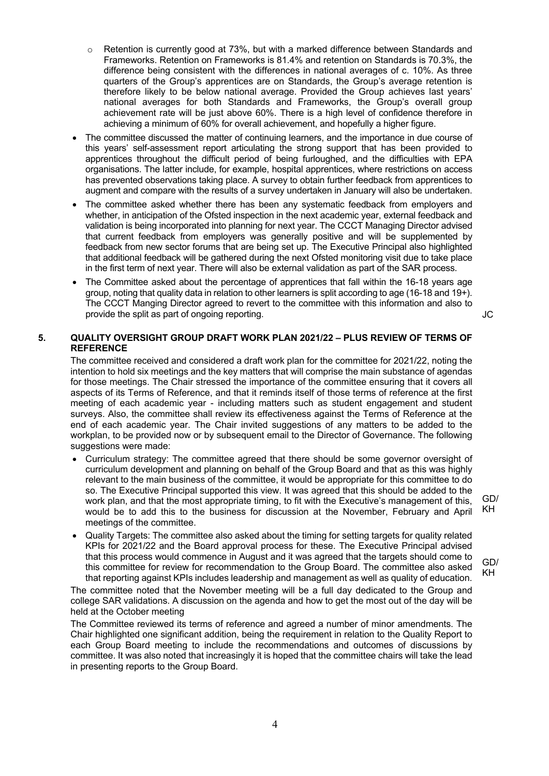- o Retention is currently good at 73%, but with a marked difference between Standards and Frameworks. Retention on Frameworks is 81.4% and retention on Standards is 70.3%, the difference being consistent with the differences in national averages of c. 10%. As three quarters of the Group's apprentices are on Standards, the Group's average retention is therefore likely to be below national average. Provided the Group achieves last years' national averages for both Standards and Frameworks, the Group's overall group achievement rate will be just above 60%. There is a high level of confidence therefore in achieving a minimum of 60% for overall achievement, and hopefully a higher figure.
- The committee discussed the matter of continuing learners, and the importance in due course of this years' self-assessment report articulating the strong support that has been provided to apprentices throughout the difficult period of being furloughed, and the difficulties with EPA organisations. The latter include, for example, hospital apprentices, where restrictions on access has prevented observations taking place. A survey to obtain further feedback from apprentices to augment and compare with the results of a survey undertaken in January will also be undertaken.
- The committee asked whether there has been any systematic feedback from employers and whether, in anticipation of the Ofsted inspection in the next academic year, external feedback and validation is being incorporated into planning for next year. The CCCT Managing Director advised that current feedback from employers was generally positive and will be supplemented by feedback from new sector forums that are being set up. The Executive Principal also highlighted that additional feedback will be gathered during the next Ofsted monitoring visit due to take place in the first term of next year. There will also be external validation as part of the SAR process.
- The Committee asked about the percentage of apprentices that fall within the 16-18 years age group, noting that quality data in relation to other learners is split according to age (16-18 and 19+). The CCCT Manging Director agreed to revert to the committee with this information and also to provide the split as part of ongoing reporting. The state of the split as part of ongoing reporting.

## **5. QUALITY OVERSIGHT GROUP DRAFT WORK PLAN 2021/22 – PLUS REVIEW OF TERMS OF REFERENCE**

The committee received and considered a draft work plan for the committee for 2021/22, noting the intention to hold six meetings and the key matters that will comprise the main substance of agendas for those meetings. The Chair stressed the importance of the committee ensuring that it covers all aspects of its Terms of Reference, and that it reminds itself of those terms of reference at the first meeting of each academic year - including matters such as student engagement and student surveys. Also, the committee shall review its effectiveness against the Terms of Reference at the end of each academic year. The Chair invited suggestions of any matters to be added to the workplan, to be provided now or by subsequent email to the Director of Governance. The following suggestions were made:

- Curriculum strategy: The committee agreed that there should be some governor oversight of curriculum development and planning on behalf of the Group Board and that as this was highly relevant to the main business of the committee, it would be appropriate for this committee to do so. The Executive Principal supported this view. It was agreed that this should be added to the work plan, and that the most appropriate timing, to fit with the Executive's management of this, would be to add this to the business for discussion at the November, February and April meetings of the committee.
- Quality Targets: The committee also asked about the timing for setting targets for quality related KPIs for 2021/22 and the Board approval process for these. The Executive Principal advised that this process would commence in August and it was agreed that the targets should come to this committee for review for recommendation to the Group Board. The committee also asked that reporting against KPIs includes leadership and management as well as quality of education.

The committee noted that the November meeting will be a full day dedicated to the Group and college SAR validations. A discussion on the agenda and how to get the most out of the day will be held at the October meeting

The Committee reviewed its terms of reference and agreed a number of minor amendments. The Chair highlighted one significant addition, being the requirement in relation to the Quality Report to each Group Board meeting to include the recommendations and outcomes of discussions by committee. It was also noted that increasingly it is hoped that the committee chairs will take the lead in presenting reports to the Group Board.

GD/ KH